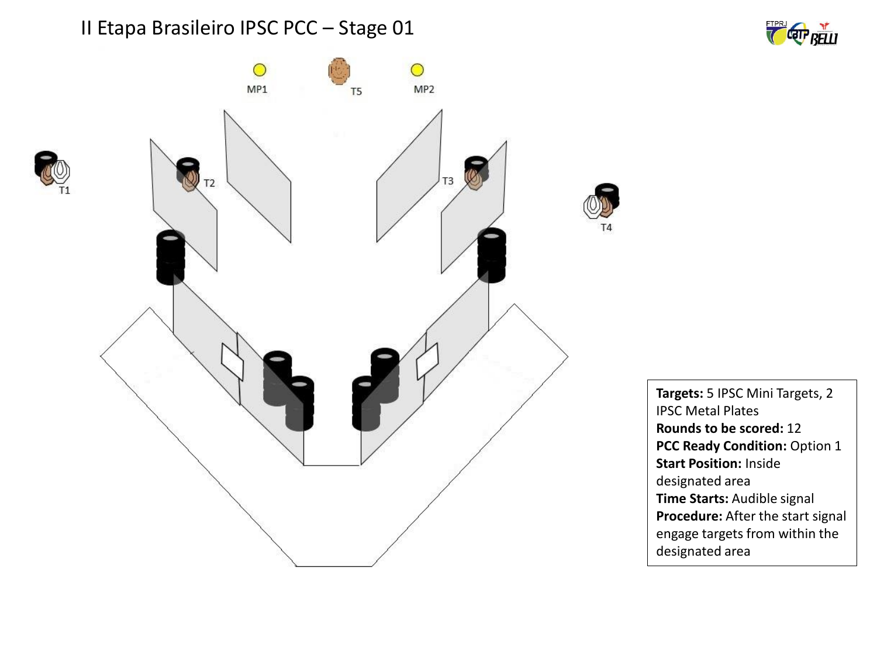





**Targets:** 5 IPSC Mini Targets, 2 IPSC Metal Plates **Rounds to be scored:** 12 **PCC Ready Condition:** Option 1 **Start Position:** Inside designated area **Time Starts:** Audible signal **Procedure:** After the start signal engage targets from within the designated area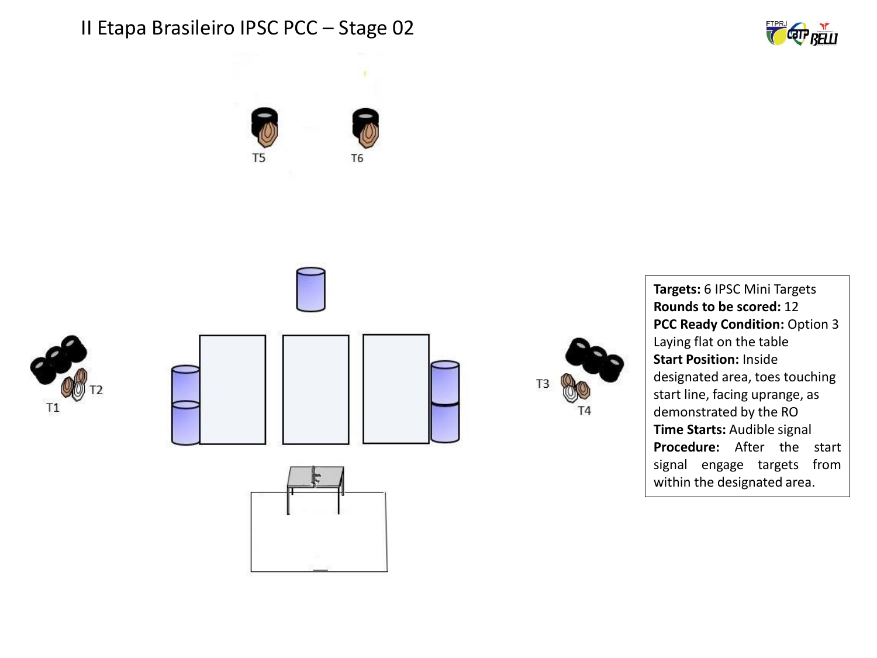





**Targets:** 6 IPSC Mini Targets **Rounds to be scored:** 12 **PCC Ready Condition:** Option 3 Laying flat on the table **Start Position:** Inside designated area, toes touching start line, facing uprange, as demonstrated by the RO **Time Starts:** Audible signal **Procedure:** After the start signal engage targets from within the designated area.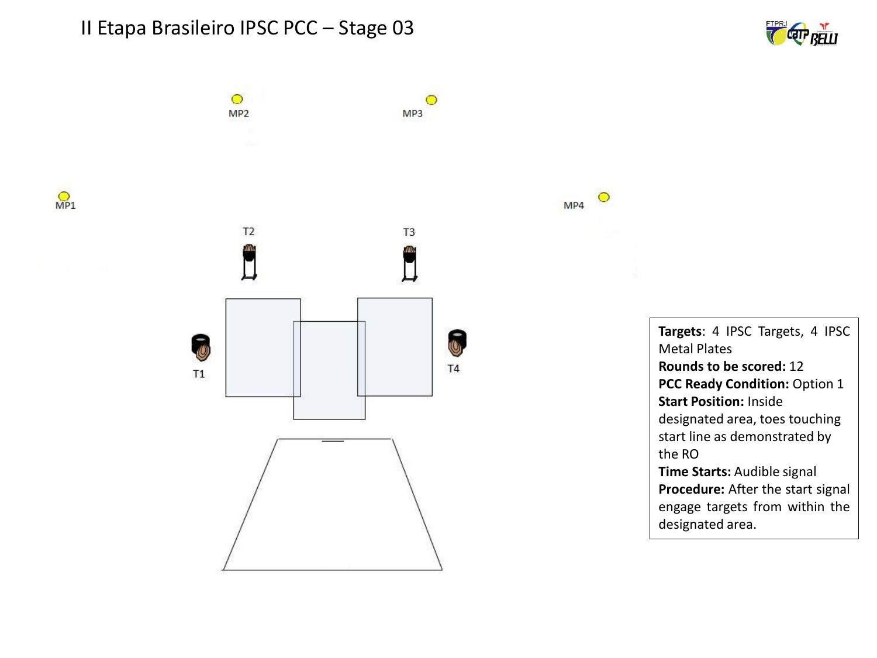$\circ$ 

MP<sub>2</sub>







 $\circ$ 

 $\circ$ 

MP4

MP3

**Targets**: 4 IPSC Targets, 4 IPSC Metal Plates **Rounds to be scored:** 12 **PCC Ready Condition:** Option 1 **Start Position:** Inside designated area, toes touching start line as demonstrated by the RO **Time Starts:** Audible signal **Procedure:** After the start signal engage targets from within the designated area.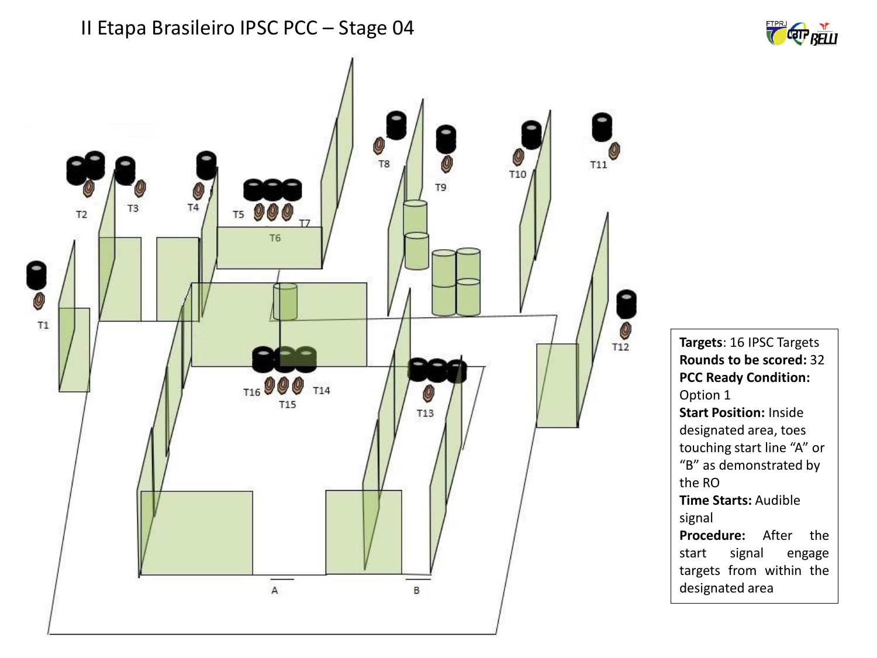

**Targets**: 16 IPSC Targets **Rounds to be scored:** 32 **PCC Ready Condition:** Option 1 **Start Position:** Inside designated area, toes touching start line "A" or "B" as demonstrated by the RO **Time Starts:** Audible signal **Procedure:** After the start signal engage targets from within the designated area

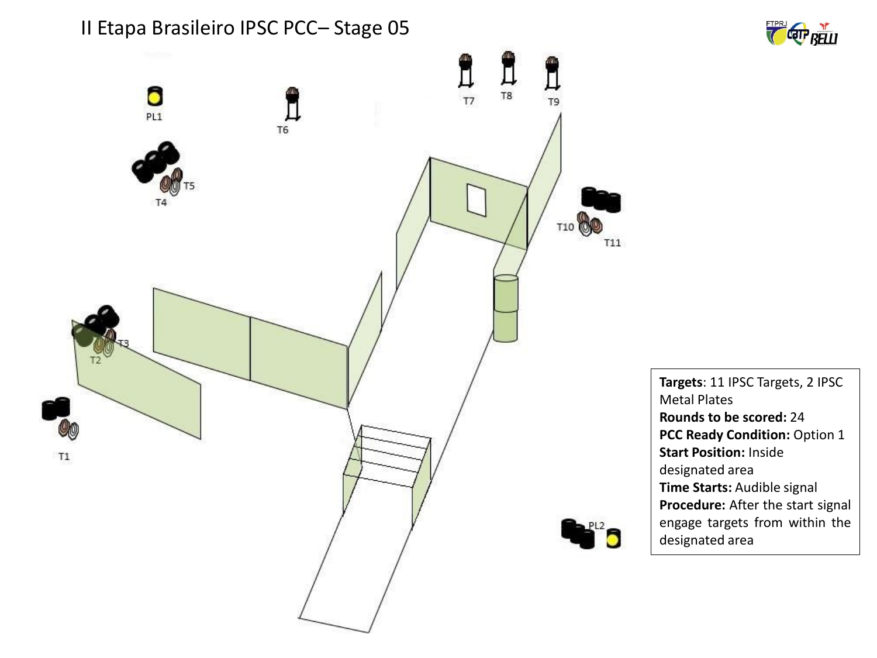



**Targets**: 11 IPSC Targets, 2 IPSC Metal Plates **Rounds to be scored:** 24 **PCC Ready Condition:** Option 1 **Start Position:** Inside designated area **Time Starts:** Audible signal **Procedure:** After the start signal engage targets from within the designated area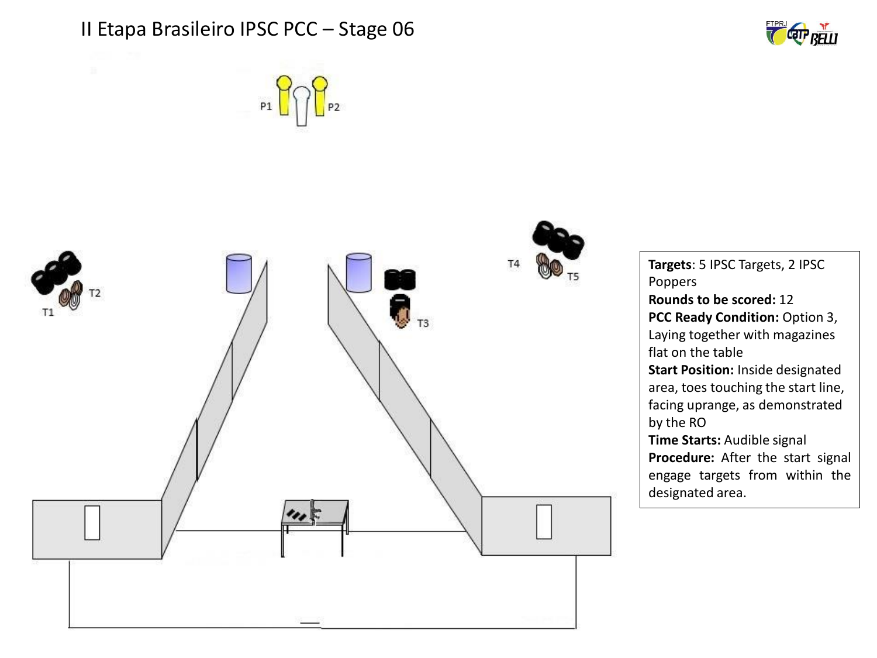



**CETP RELLI**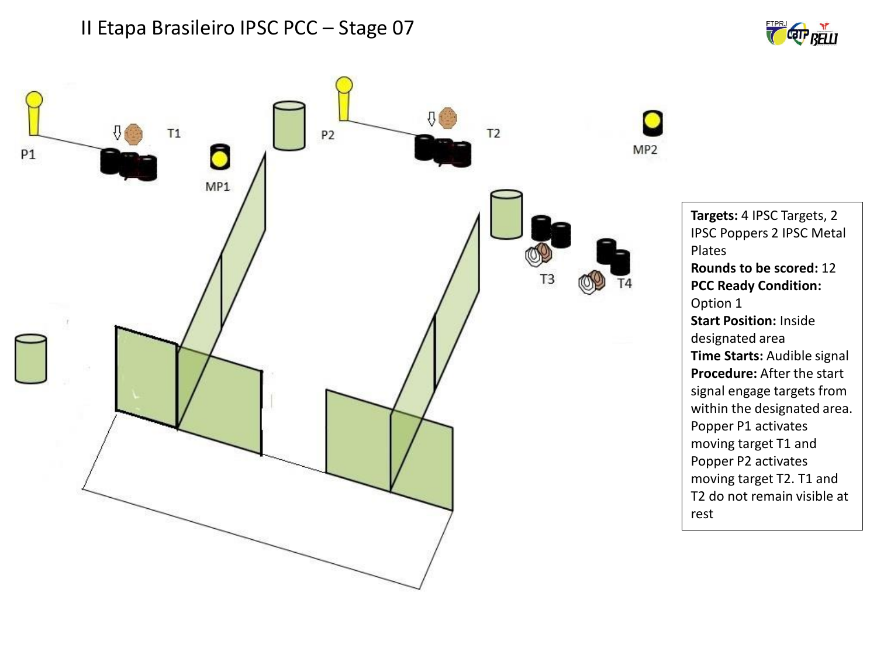



**Targets:** 4 IPSC Targets, 2 IPSC Poppers 2 IPSC Metal Plates **Rounds to be scored:** 12 **PCC Ready Condition:** Option 1 **Start Position:** Inside designated area **Time Starts:** Audible signal **Procedure:** After the start signal engage targets from within the designated area. Popper P1 activates moving target T1 and Popper P2 activates moving target T2. T1 and T2 do not remain visible at rest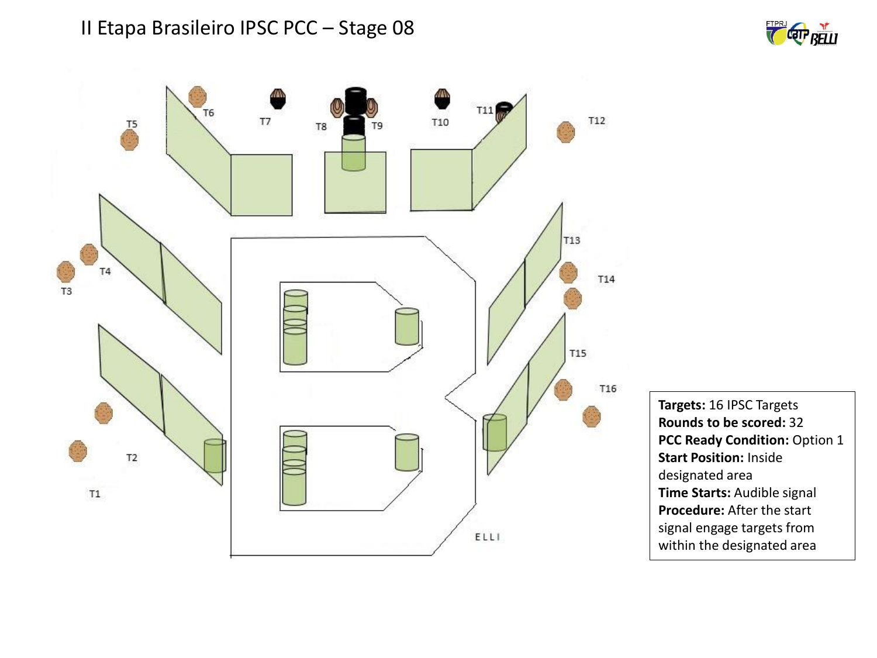



**Targets:** 16 IPSC Targets **Rounds to be scored:** 32 **PCC Ready Condition:** Option 1 **Start Position:** Inside designated area **Time Starts:** Audible signal **Procedure:** After the start signal engage targets from within the designated area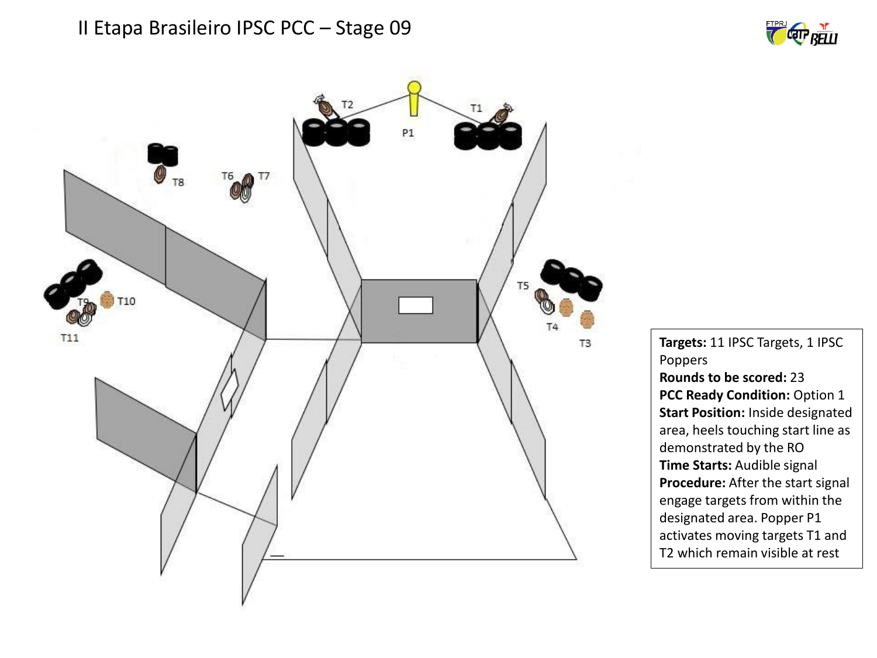



**Targets:** 11 IPSC Targets, 1 IPSC Poppers **Rounds to be scored:** 23 **PCC Ready Condition:** Option 1 **Start Position:** Inside designated area, heels touching start line as demonstrated by the RO **Time Starts:** Audible signal **Procedure:** After the start signal engage targets from within the designated area. Popper P1 activates moving targets T1 and T2 which remain visible at rest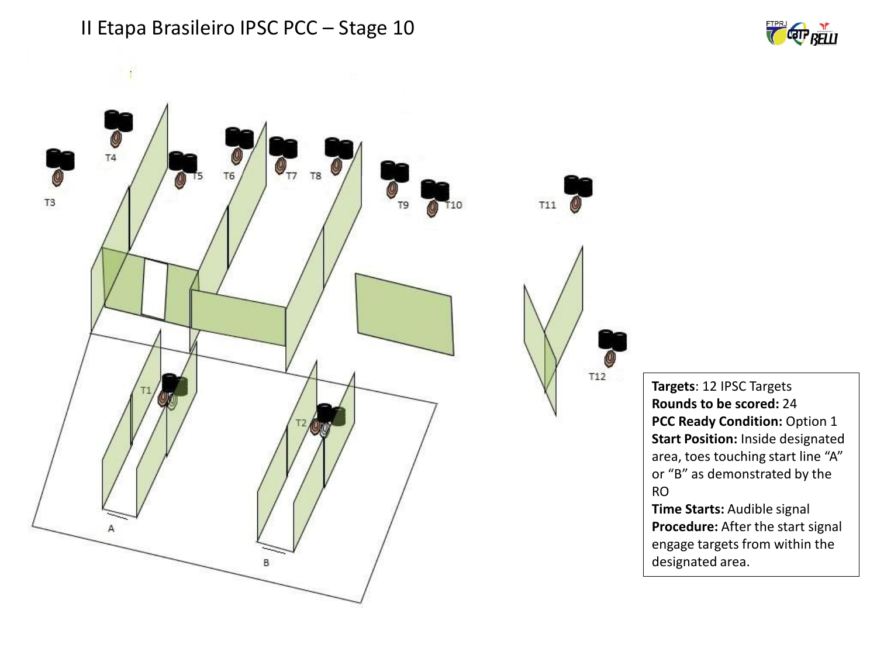





**Targets**: 12 IPSC Targets **Rounds to be scored:** 24 **PCC Ready Condition:** Option 1 **Start Position:** Inside designated area, toes touching start line "A" or "B" as demonstrated by the RO

**Time Starts:** Audible signal **Procedure:** After the start signal engage targets from within the designated area.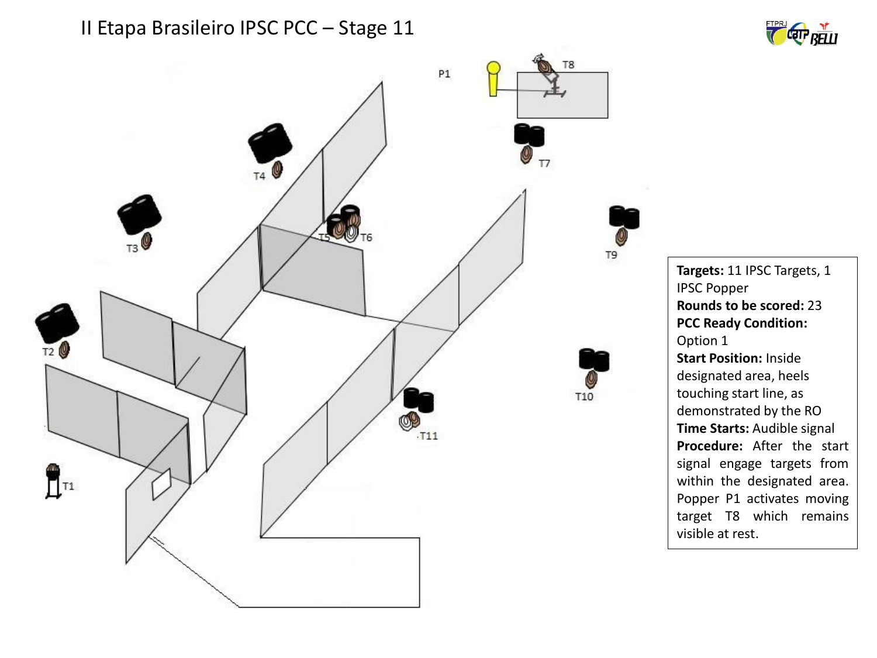



**Targets:** 11 IPSC Targets, 1 IPSC Popper **Rounds to be scored:** 23 **PCC Ready Condition:** Option 1 **Start Position:** Inside designated area, heels touching start line, as demonstrated by the RO **Time Starts:** Audible signal **Procedure:** After the start signal engage targets from within the designated area. Popper P1 activates moving target T8 which remains visible at rest.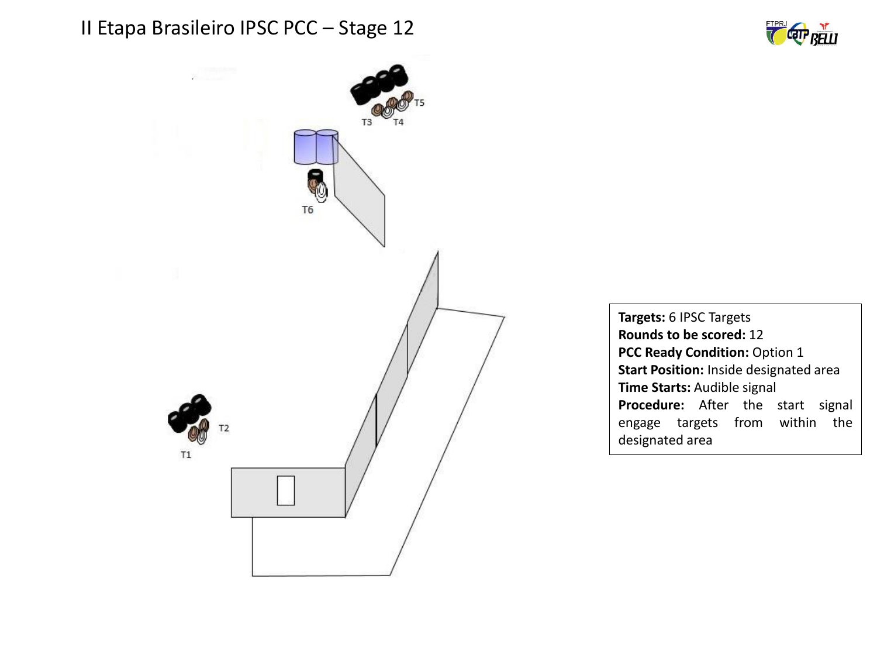



**Targets:** 6 IPSC Targets **Rounds to be scored:** 12 **PCC Ready Condition:** Option 1 **Start Position:** Inside designated area **Time Starts:** Audible signal **Procedure:** After the start signal engage targets from within the designated area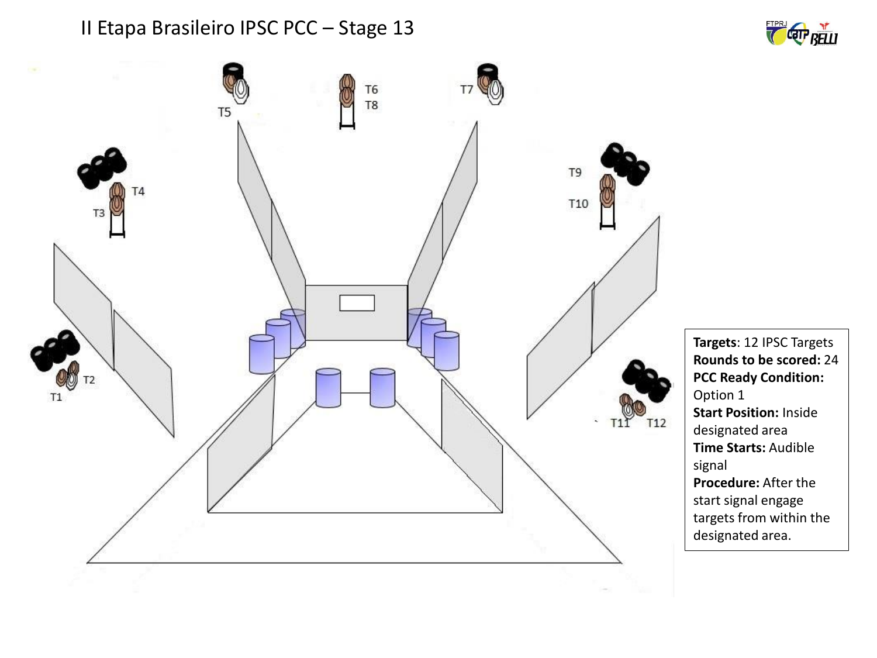

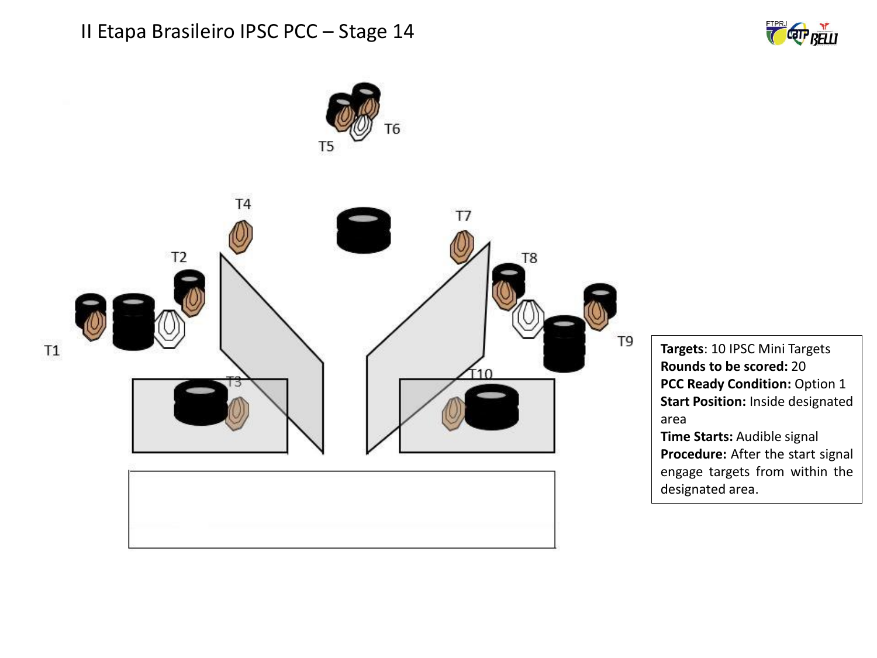



**Targets**: 10 IPSC Mini Targets **Rounds to be scored:** 20 **PCC Ready Condition:** Option 1 **Start Position:** Inside designated area

**Time Starts:** Audible signal **Procedure:** After the start signal engage targets from within the designated area.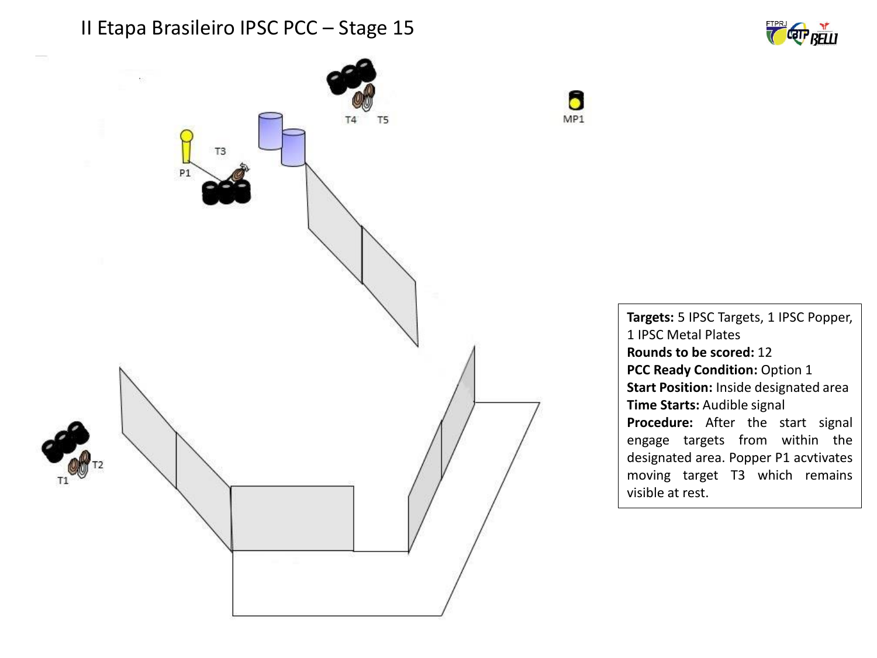





**Targets:** 5 IPSC Targets, 1 IPSC Popper, 1 IPSC Metal Plates **Rounds to be scored:** 12 **PCC Ready Condition:** Option 1 **Start Position:** Inside designated area **Time Starts:** Audible signal **Procedure:** After the start signal engage targets from within the designated area. Popper P1 acvtivates moving target T3 which remains visible at rest.